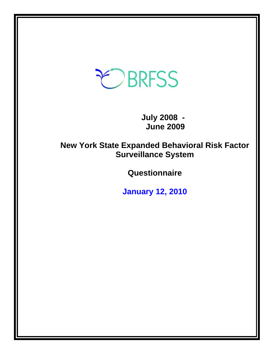# **CBRFSS**

 **July 2008 - June 2009** 

**New York State Expanded Behavioral Risk Factor Surveillance System** 

**Questionnaire** 

**January 12, 2010**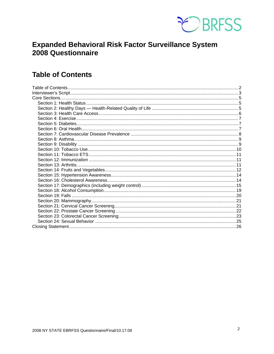

# **Expanded Behavioral Risk Factor Surveillance System** 2008 Questionnaire

# **Table of Contents**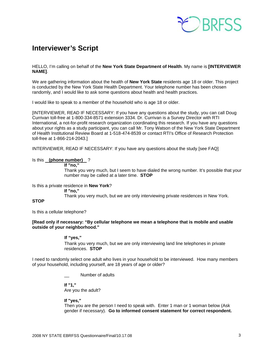

# <span id="page-2-0"></span>**Interviewer's Script**

HELLO, I'm calling on behalf of the **New York State Department of Health**. My name is **[INTERVIEWER NAME]**.

We are gathering information about the health of **New York State** residents age 18 or older. This project is conducted by the New York State Health Department. Your telephone number has been chosen randomly, and I would like to ask some questions about health and health practices.

I would like to speak to a member of the household who is age 18 or older.

[INTERVIEWER, READ IF NECESSARY: If you have any questions about the study, you can call Doug Currivan toll-free at 1-800-334-8571 extension 3334. Dr. Currivan is a Survey Director with RTI International, a not-for-profit research organization coordinating this research. If you have any questions about your rights as a study participant, you can call Mr. Tony Watson of the New York State Department of Health Institutional Review Board at 1-518-474-8539 or contact RTI's Office of Research Protection toll-free at 1-866-214-2043.]

INTERVIEWER, READ IF NECESSARY: If you have any questions about the study [see FAQ]

#### Is this **(phone number)** ?

 **If "no,"** 

 Thank you very much, but I seem to have dialed the wrong number. It's possible that your number may be called at a later time. **STOP**

Is this a private residence in **New York**?

 **If "no,"**

Thank you very much, but we are only interviewing private residences in New York.

#### **STOP**

Is this a cellular telephone?

#### **[Read only if necessary: "By cellular telephone we mean a telephone that is mobile and usable outside of your neighborhood."**

#### **If "yes,"**

Thank you very much, but we are only interviewing land line telephones in private residences. **STOP** 

I need to randomly select one adult who lives in your household to be interviewed. How many members of your household, including yourself, are 18 years of age or older?

Number of adults

 **If "1,"**  Are you the adult?

#### **If "yes,"**

Then you are the person I need to speak with. Enter 1 man or 1 woman below (Ask gender if necessary). **Go to informed consent statement for correct respondent.**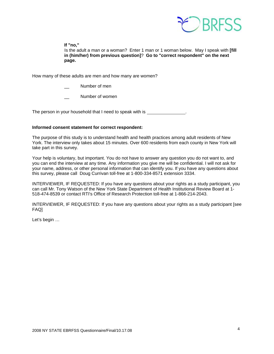

 **If "no,"** 

 Is the adult a man or a woman? Enter 1 man or 1 woman below. May I speak with **[fill in (him/her) from previous question]**? **Go to "correct respondent" on the next page.**

How many of these adults are men and how many are women?

- Number of men
- Number of women

The person in your household that I need to speak with is \_\_\_\_\_\_\_\_\_\_\_\_\_\_\_.

#### **Informed consent statement for correct respondent:**

The purpose of this study is to understand health and health practices among adult residents of New York. The interview only takes about 15 minutes. Over 600 residents from each county in New York will take part in this survey.

Your help is voluntary, but important. You do not have to answer any question you do not want to, and you can end the interview at any time. Any information you give me will be confidential. I will not ask for your name, address, or other personal information that can identify you. If you have any questions about this survey, please call Doug Currivan toll-free at 1-800-334-8571 extension 3334.

INTERVIEWER, IF REQUESTED: If you have any questions about your rights as a study participant, you can call Mr. Tony Watson of the New York State Department of Health Institutional Review Board at 1- 518-474-8539 or contact RTI's Office of Research Protection toll-free at 1-866-214-2043.

INTERVIEWER, IF REQUESTED: If you have any questions about your rights as a study participant [see FAQ]

Let's begin …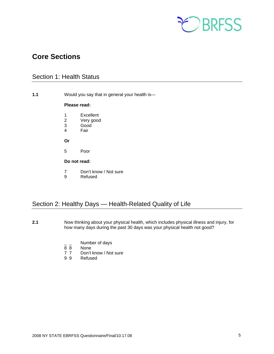

# <span id="page-4-0"></span>**Core Sections**

# Section 1: Health Status

**1.1** Would you say that in general your health is—

#### **Please read:**

- 1 Excellent
- 2 Very good
- 3 Good
	- 4 Fair

**Or** 

5 Poor

#### **Do not read:**

- 7 Don't know / Not sure<br>9 Refused
- **Refused**

# Section 2: Healthy Days — Health-Related Quality of Life

- **2.1** Now thinking about your physical health, which includes physical illness and injury, for how many days during the past 30 days was your physical health not good?
	- $\frac{1}{8}$   $\frac{1}{8}$  Number of days
	- **None**
	- 7 7 Don't know / Not sure<br>9 9 Refused
	- **Refused**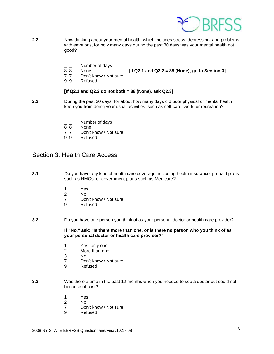

- <span id="page-5-0"></span>**2.2** Now thinking about your mental health, which includes stress, depression, and problems with emotions, for how many days during the past 30 days was your mental health not good?
	- $\frac{1}{8}$   $\frac{1}{8}$  Number of days
	-

8 8 None **[If Q2.1 and Q2.2 = 88 (None), go to Section 3]** 

- 7 7 Don't know / Not sure<br>9 9 Refused
- **Refused**

#### **[If Q2.1 and Q2.2 do not both = 88 (None), ask Q2.3]**

- **2.3** During the past 30 days, for about how many days did poor physical or mental health keep you from doing your usual activities, such as self-care, work, or recreation?
	- $\frac{1}{8}$   $\frac{1}{8}$  Number of days
	- **None**
	- 7 7 Don't know / Not sure<br>9 9 Refused
	- **Refused**

### Section 3: Health Care Access

- **3.1** Do you have any kind of health care coverage, including health insurance, prepaid plans such as HMOs, or government plans such as Medicare?
	- 1 Yes<br>2 No
- 2 No
	- 7 Don't know / Not sure
	- 9 Refused

#### **3.2** Do you have one person you think of as your personal doctor or health care provider?

 **If "No," ask: "Is there more than one, or is there no person who you think of as your personal doctor or health care provider?"** 

- 1 Yes, only one
- 2 More than one
- 3 No
- 7 Don't know / Not sure
- 9 Refused
- **3.3** Was there a time in the past 12 months when you needed to see a doctor but could not because of cost?
	- 1 Yes
- 2 No
	- 7 Don't know / Not sure
	- 9 Refused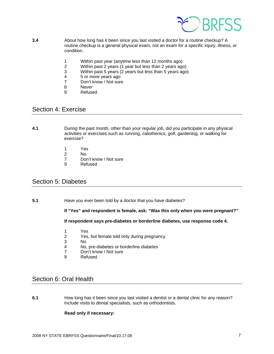

- <span id="page-6-0"></span>**3.4** About how long has it been since you last visited a doctor for a routine checkup? A routine checkup is a general physical exam, not an exam for a specific injury, illness, or condition.
	- 1 Within past year (anytime less than 12 months ago)
	- 2 Within past 2 years (1 year but less than 2 years ago)<br>3 Within past 5 years (2 years but less than 5 years ago
	- Within past 5 years (2 years but less than 5 years ago)
	- 4 5 or more years ago<br>7 Don't know / Not sure
	- Don't know / Not sure
	- 8 Never
	- 9 Refused

### Section 4: Exercise

- **4.1** During the past month, other than your regular job, did you participate in any physical activities or exercises such as running, calisthenics, golf, gardening, or walking for exercise?
	- 1 Yes
- 2 No
	- 7 Don't know / Not sure
	- 9 Refused

### Section 5: Diabetes

**5.1** Have you ever been told by a doctor that you have diabetes?

 **If "Yes" and respondent is female, ask: "Was this only when you were pregnant?"** 

**If respondent says pre-diabetes or borderline diabetes, use response code 4.** 

- 1 Yes<br>2 Yes.
- 2 Yes, but female told only during pregnancy
- 3 No
- 4 No, pre-diabetes or borderline diabetes<br>7 Don't know / Not sure
- 7 Don't know / Not sure<br>9 Refused
- **Refused**

# Section 6: Oral Health

**6.1** How long has it been since you last visited a dentist or a dental clinic for any reason? Include visits to dental specialists, such as orthodontists.

#### **Read only if necessary:**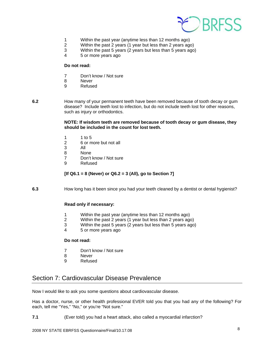

- <span id="page-7-0"></span>1 Within the past year (anytime less than 12 months ago)
- 2 Within the past 2 years (1 year but less than 2 years ago)
- 3 Within the past 5 years (2 years but less than 5 years ago)
- 4 5 or more years ago

- 7 Don't know / Not sure<br>8 Never
- **Never**
- 9 Refused
- 

**6.2** How many of your permanent teeth have been removed because of tooth decay or gum disease? Include teeth lost to infection, but do not include teeth lost for other reasons, such as injury or orthodontics.

#### **NOTE: If wisdom teeth are removed because of tooth decay or gum disease, they should be included in the count for lost teeth.**

- 1 1 to 5<br>2 6 or m
- 6 or more but not all
- 3 All
	- 8 None
	- 7 Don't know / Not sure
	- 9 Refused

#### **[If Q6.1 = 8 (Never) or Q6.2 = 3 (All), go to Section 7]**

**6.3** How long has it been since you had your teeth cleaned by a dentist or dental hygienist?

#### **Read only if necessary:**

- 1 Within the past year (anytime less than 12 months ago)
- 2 Within the past 2 years (1 year but less than 2 years ago)
- 3 Within the past 5 years (2 years but less than 5 years ago)
- 4 5 or more years ago

#### **Do not read:**

- 7 Don't know / Not sure
- 8 Never
- 9 Refused

# Section 7: Cardiovascular Disease Prevalence

Now I would like to ask you some questions about cardiovascular disease.

Has a doctor, nurse, or other health professional EVER told you that you had any of the following? For each, tell me "Yes," "No," or you're "Not sure."

**7.1** (Ever told) you had a heart attack, also called a myocardial infarction?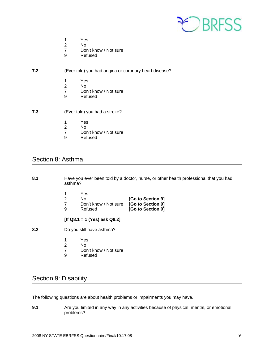

- <span id="page-8-0"></span>1 Yes
- 2 No<br>7 Doi
- Don't know / Not sure
- 9 Refused

#### **7.2** (Ever told) you had angina or coronary heart disease?

- 1 Yes
- 2 No<br>7 Dor
- 7 Don't know / Not sure<br>9 Refused
- **Refused**
- **7.3** (Ever told) you had a stroke?
	-
	- 1 Yes<br>2 No No.
	- 7 Don't know / Not sure<br>9 Refused
	- **Refused**

### Section 8: Asthma

**8.1** Have you ever been told by a doctor, nurse, or other health professional that you had asthma?

|                   | Yes                                     |   |
|-------------------|-----------------------------------------|---|
| [Go to Section 9] | No.                                     |   |
|                   | Don't know / Not sure [Go to Section 9] |   |
| [Go to Section 9] | Refused                                 | a |

#### **[If Q8.1 = 1 (Yes) ask Q8.2]**

- **8.2** Do you still have asthma?
	- 1 Yes<br>2 No
	- 2 No<br>7 Dor
	- Don't know / Not sure
	- 9 Refused

# Section 9: Disability

The following questions are about health problems or impairments you may have.

**9.1** Are you limited in any way in any activities because of physical, mental, or emotional problems?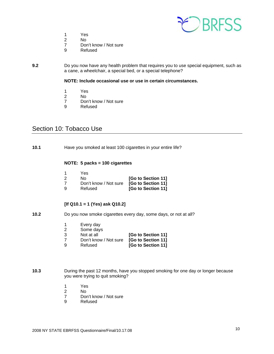

- 1 Yes
- 2 No
- 7 Don't know / Not sure<br>9 Refused
- **Refused**

#### <span id="page-9-0"></span>**9.2** Do you now have any health problem that requires you to use special equipment, such as a cane, a wheelchair, a special bed, or a special telephone?

**NOTE: Include occasional use or use in certain circumstances.**

- 1 Yes<br>2 No
- No.
- 7 Don't know / Not sure<br>9 Refused
- **Refused**

# Section 10: Tobacco Use

**10.1** Have you smoked at least 100 cigarettes in your entire life?

#### **NOTE: 5 packs = 100 cigarettes**

| Yes                                      |                    |
|------------------------------------------|--------------------|
| N۵                                       | [Go to Section 11] |
| Don't know / Not sure [Go to Section 11] |                    |
| Refused                                  | [Go to Section 11] |

#### **[If Q10.1 = 1 (Yes) ask Q10.2]**

- **10.2** Do you now smoke cigarettes every day, some days, or not at all?
	- 1 Every day<br>2 Some days
	- Some days
	- 3 Not at all **[Go to Section 11]**
	- 7 Don't know / Not sure **[Go to Section 11]**
	- 9 Refused **[Go to Section 11]**
- **10.3** During the past 12 months, have you stopped smoking for one day or longer because you were trying to quit smoking?
	- 1 Yes
- 2 No
	- 7 Don't know / Not sure
	- 9 Refused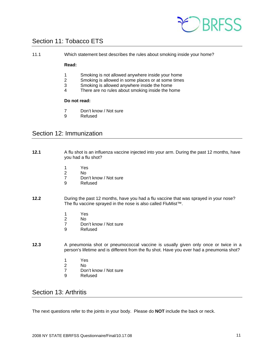

# <span id="page-10-0"></span>Section 11: Tobacco ETS

11.1 Which statement best describes the rules about smoking inside your home?

#### **Read:**

- 1 Smoking is not allowed anywhere inside your home<br>2 Smoking is allowed in some places or at some times
- Smoking is allowed in some places or at some times
- 3 Smoking is allowed anywhere inside the home
- 4 There are no rules about smoking inside the home

#### **Do not read:**

- 7 Don't know / Not sure<br>9 Refused
- **Refused**

# Section 12: Immunization

- **12.1** A flu shot is an influenza vaccine injected into your arm. During the past 12 months, have you had a flu shot?
	- 1 Yes<br>2 No
- 2 No
	- 7 Don't know / Not sure
	- 9 Refused
- **12.2** During the past 12 months, have you had a flu vaccine that was sprayed in your nose? The flu vaccine sprayed in the nose is also called FluMist™.
	- 1 Yes
- 2 No
	- 7 Don't know / Not sure
	- 9 Refused
- **12.3** A pneumonia shot or pneumococcal vaccine is usually given only once or twice in a person's lifetime and is different from the flu shot. Have you ever had a pneumonia shot?
	- 1 Yes
	- No
	- 7 Don't know / Not sure<br>9 Refused
	- **Refused**

# Section 13: Arthritis

The next questions refer to the joints in your body. Please do **NOT** include the back or neck.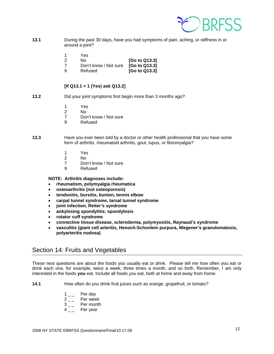

- <span id="page-11-0"></span>**13.1** During the past 30 days, have you had symptoms of pain, aching, or stiffness in or around a joint?
	- 1 Yes

2 No **[Go to Q13.3]**

- 7 Don't know / Not sure **[Go to Q13.3]** 9 Refused **[Go to Q13.3]**
	-

#### **[If Q13.1 = 1 (Yes) ask Q13.2]**

- **13.2** Did your joint symptoms first begin more than 3 months ago?
	- 1 Yes
- 2 No
	- 7 Don't know / Not sure
	- 9 Refused
- **13.3** Have you ever been told by a doctor or other health professional that you have some form of arthritis, rheumatoid arthritis, gout, lupus, or fibromyalgia?
	- 1 Yes
	- 2 No
	- 7 Don't know / Not sure
	- 9 Refused

**NOTE: Arthritis diagnoses include:** 

- **rheumatism, polymyalgia rheumatica**
- **osteoarthritis (not osteoporosis)**
- **tendonitis, bursitis, bunion, tennis elbow**
- **carpal tunnel syndrome, tarsal tunnel syndrome**
- **joint infection, Reiter's syndrome**
- **ankylosing spondylitis; spondylosis**
- **rotator cuff syndrome**
- **connective tissue disease, scleroderma, polymyositis, Raynaud's syndrome**
- **vasculitis (giant cell arteritis, Henoch-Schonlein purpura, Wegener's granulomatosis, polyarteritis nodosa)**

# Section 14: Fruits and Vegetables

These next questions are about the foods you usually eat or drink. Please tell me how often you eat or drink each one, for example, twice a week, three times a month, and so forth. Remember, I am only interested in the foods **you** eat. Include all foods *you* eat, both at home and away from home.

**14.1** How often do you drink fruit juices such as orange, grapefruit, or tomato?

- $1_{--}$  Per day
- 2 Per week
- $3_{--}$  Per month
- Per year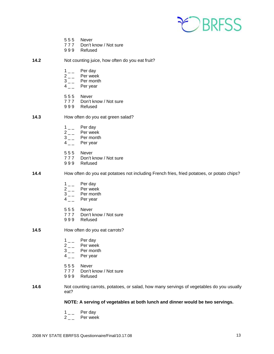

- 5 5 5 Never
- 7 7 7 Don't know / Not sure
- 9 9 9 Refused
- **14.2** Not counting juice, how often do you eat fruit?
	- $1 \quad \quad$  Per day<br> $2 \quad \quad$  Per wee
	-
	- $2 \begin{bmatrix} 2 & \\ 3 & \end{bmatrix}$  Per month  $3_{--}$  Per month<br> $4_{--}$  Per year
	- Per year
	- 5 5 5 Never
	- 7 7 7 Don't know / Not sure
	- 9 9 9 Refused
- **14.3** How often do you eat green salad?
	- $1\qquad$  Per day
	-
	- $2 \quad \quad$  Per week<br> $3 \quad \quad$  Per month  $3_{--}$  Per month<br>4 Per year
	- Per year
	- 555 Never<br>777 Don't k
	- Don't know / Not sure
	- 9 9 9 Refused
- **14.4** How often do you eat potatoes not including French fries, fried potatoes, or potato chips?
	-
	- $1 \quad \quad$  Per day<br> $2 \quad \quad$  Per wee
	- $2 \quad \quad$  Per week<br> $3 \quad \quad$  Per month  $3_{--}$  Per month<br> $4_{--}$  Per year
	- Per year
	- 555 Never<br>777 Don't k
	- Don't know / Not sure
	- 9 9 9 Refused
- **14.5** How often do you eat carrots?
	- $1 \quad \quad$  Per day<br> $2 \quad \quad$  Per wee
	- $2 \quad \quad$  Per week<br> $3 \quad \quad$  Per month
	- Per month
	- $4_{--}$  Per year
	- 5 5 5 Never
	- 7 7 7 Don't know / Not sure
	- 9 9 9 Refused
- **14.6** Not counting carrots, potatoes, or salad, how many servings of vegetables do you usually eat?

#### **NOTE: A serving of vegetables at both lunch and dinner would be two servings.**

- 
- $\begin{bmatrix} 1 & -1 \\ 2 & -1 \end{bmatrix}$  Per wee Per week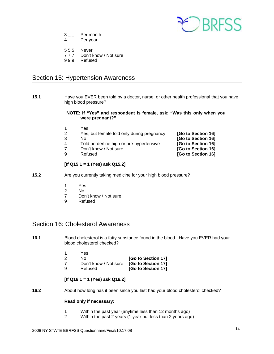

- <span id="page-13-0"></span> $3_{--}$  Per month
- $4_{--}$  Per year
- 5 5 5 Never
- 7 7 7 Don't know / Not sure
- 9 9 9 Refused

# Section 15: Hypertension Awareness

**15.1** Have you EVER been told by a doctor, nurse, or other health professional that you have high blood pressure?

#### **NOTE: If "Yes" and respondent is female, ask: "Was this only when you were pregnant?"**

- 1 Yes
- 2 Yes, but female told only during pregnancy **[Go to Section 16]**
- 
- 3 No **[Go to Section 16]** 4 Told borderline high or pre-hypertensive **[Go to Section 16]**
- 7 Don't know / Not sure **[Go to Section 16]**
- 9 Refused **[Go to Section 16]**

#### **[If Q15.1 = 1 (Yes) ask Q15.2]**

- **15.2** Are you currently taking medicine for your high blood pressure?
	- 1 Yes
	- 2 No
	- 7 Don't know / Not sure
	- 9 Refused

# Section 16: Cholesterol Awareness

**16.1** Blood cholesterol is a fatty substance found in the blood. Have you EVER had your blood cholesterol checked?

|   | Yes                                      |                    |
|---|------------------------------------------|--------------------|
|   | N٥                                       | [Go to Section 17] |
|   | Don't know / Not sure [Go to Section 17] |                    |
| g | Refused                                  | [Go to Section 17] |

#### **[If Q16.1 = 1 (Yes) ask Q16.2]**

**16.2** About how long has it been since you last had your blood cholesterol checked?

#### **Read only if necessary:**

- 1 Within the past year (anytime less than 12 months ago)
- 2 Within the past 2 years (1 year but less than 2 years ago)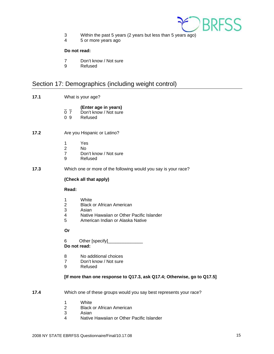

- <span id="page-14-0"></span>3 Within the past 5 years (2 years but less than 5 years ago)
- 4 5 or more years ago

- 7 Don't know / Not sure
- 9 Refused

# Section 17: Demographics (including weight control)

**17.1** What is your age?

# \_ \_ **(Enter age in years)**

- Don't know / Not sure
- 0 9 Refused
- **17.2** Are you Hispanic or Latino?
	- 1 Yes<br>2 No
- 2 No
	- 7 Don't know / Not sure
	- 9 Refused
- **17.3** Which one or more of the following would you say is your race?

#### **(Check all that apply)**

#### **Read:**

- 1 White<br>2 Black
- 2 Black or African American<br>3 Asian
- **Asian**
- 4 Native Hawaiian or Other Pacific Islander<br>5 American Indian or Alaska Native
- 5 American Indian or Alaska Native

#### **Or**

6 Other [specify]

### **Do not read:**

- 8 No additional choices
- 7 Don't know / Not sure
- 9 Refused

#### **[If more than one response to Q17.3, ask Q17.4; Otherwise, go to Q17.5]**

- **17.4** Which one of these groups would you say best represents your race?
	- 1 White
	- 2 Black or African American
	- 3 Asian
	- 4 Native Hawaiian or Other Pacific Islander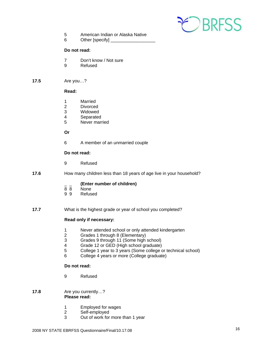

- 5 American Indian or Alaska Native
- 6 Other [specify]

- 7 Don't know / Not sure
- 9 Refused

#### **17.5** Are you…?

#### **Read:**

- 1 Married<br>2 Divorced
- 2 Divorced<br>3 Widowed
- Widowed
- 4 Separated
- 5 Never married

#### **Or**

6 A member of an unmarried couple

#### **Do not read:**

- 9 Refused
- **17.6** How many children less than 18 years of age live in your household?

# $\frac{1}{8}$  **(Enter number of children)**

- None
- 9 9 Refused
- **17.7** What is the highest grade or year of school you completed?

#### **Read only if necessary:**

- 1 Never attended school or only attended kindergarten
- 2 Grades 1 through 8 (Elementary)
- 3 Grades 9 through 11 (Some high school)
- 4 Grade 12 or GED (High school graduate)<br>5 College 1 year to 3 years (Some college of
- College 1 year to 3 years (Some college or technical school)
- 6 College 4 years or more (College graduate)

#### **Do not read:**

9 Refused

#### **17.8** Are you currently…?  **Please read:**

- 1 Employed for wages<br>2 Self-employed
- Self-employed
- 3 Out of work for more than 1 year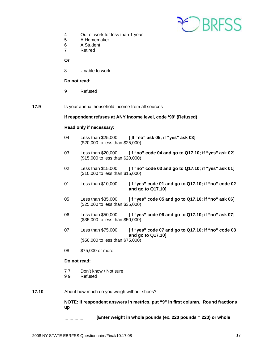

- 4 Out of work for less than 1 year
- 5 A Homemaker
- 6 A Student
- 7 Retired

 **Or**

8 Unable to work

#### **Do not read:**

9 Refused

**17.9** Is your annual household income from all sources—

#### **If respondent refuses at ANY income level, code '99' (Refused)**

#### **Read only if necessary:**

- 04 Less than \$25,000 **[**[**If "no" ask 05; if "yes" ask 03]** (\$20,000 to less than \$25,000)
- 03 Less than \$20,000 **[If "no" code 04 and go to Q17.10; if "yes" ask 02]** (\$15,000 to less than \$20,000)
- 02 Less than \$15,000 **[If "no" code 03 and go to Q17.10; if "yes" ask 01]** (\$10,000 to less than \$15,000)
- 01 Less than \$10,000 **[If "yes" code 01 and go to Q17.10; if "no" code 02 and go to Q17.10]**
- 05 Less than \$35,000 **[If "yes" code 05 and go to Q17.10; if "no" ask 06]** (\$25,000 to less than \$35,000)
- 06 Less than \$50,000 **[If "yes" code 06 and go to Q17.10; if "no" ask 07]** (\$35,000 to less than \$50,000)
- 07 Less than \$75,000 **[If "yes" code 07 and go to Q17.10; if "no" code 08 and go to Q17.10]** (\$50,000 to less than \$75,000)
- 08 \$75,000 or more

#### **Do not read:**

- 7 7 Don't know / Not sure
- 9 9 Refused
- **17.10** About how much do you weigh without shoes?

**NOTE: If respondent answers in metrics, put "9" in first column. Round fractions up**

 **[Enter weight in whole pounds (ex. 220 pounds = 220) or whole**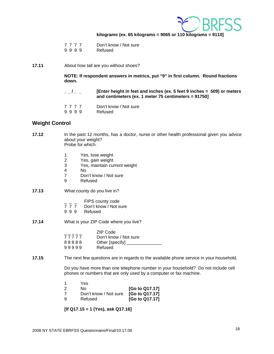

#### **kilograms (ex. 65 kilograms = 9065 or 110 kilograms = 9110]**

- 9 9 9 9 Refused
- **17.11** About how tall are you without shoes?

**NOTE: If respondent answers in metrics, put "9" in first column. Round fractions down.**

- **\_ \_ / \_ \_ [Enter height in feet and inches (ex. 5 feet 9 inches = 509) or meters and centimeters (ex. 1 meter 75 centimeters = 91750]**
- 7 7 7 7 Don't know / Not sure<br>9 9 9 9 Refused
- 9 9 9 9

#### **Weight Control**

**17.12** In the past 12 months, has a doctor, nurse or other health professional given you advice about your weight? Probe for which:

- 1 Yes, lose weight<br>2 Yes, gain weight
- Yes, gain weight
- 3 Yes, maintain current weight
- 4 No
- 7 Don't know / Not sure
- 9 Refused
- **17.13** What county do you live in?
	- $\frac{1}{7}$   $\frac{1}{7}$   $\frac{1}{7}$   $\frac{1}{7}$  Don't know / Not s
	- Don't know / Not sure
	- 9 9 9 Refused
- **17.14** What is your ZIP Code where you live?

|       | ZIP Code               |
|-------|------------------------|
| 77777 | Don't know / Not sure  |
| 88888 | Other [specify] $\_\_$ |
| 99999 | Refused                |

#### **17.15** The next few questions are in regards to the available phone service in your household.

 Do you have more than one telephone number in your household? Do not include cell phones or numbers that are only used by a computer or fax machine.

 1 Yes 2 No **[Go to Q17.17]** 7 Don't know / Not sure **[Go to Q17.17]** 9 Refused **[Go to Q17.17]** 

 **[If Q17.15 = 1 (Yes), ask Q17.16]**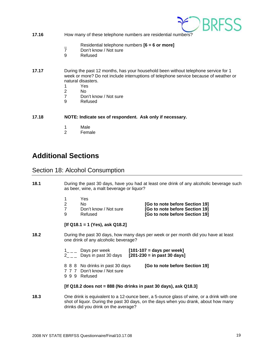

#### <span id="page-18-0"></span>**17.16 How many of these telephone numbers are residential numbers?**

- \_ Residential telephone numbers **[6 = 6 or more]**
- Don't know / Not sure
- 9 Refused
- **17.17** During the past 12 months, has your household been without telephone service for 1 week or more? Do not include interruptions of telephone service because of weather or natural disasters.
	- 1 Yes
- 2 No
	- 7 Don't know / Not sure
	- 9 Refused

**17.18 NOTE: Indicate sex of respondent. Ask only if necessary.**

- 1 Male
- 2 Female

# **Additional Sections**

### Section 18: Alcohol Consumption

- **18.1** During the past 30 days, have you had at least one drink of any alcoholic beverage such as beer, wine, a malt beverage or liquor?
	- 1 Yes<br>2 No
	-
	-
	-

 2 No **[Go to note before Section 19]** 7 Don't know / Not sure **[Go to note before Section 19]** 9 Refused **[Go to note before Section 19]**

#### **[If Q18.1 = 1 (Yes), ask Q18.2]**

**18.2** During the past 30 days, how many days per week or per month did you have at least one drink of any alcoholic beverage?

| $1_{-}$ Days per week                                          | $[101-107]$ = days per week]<br>Days in past 30 days $[201-230]$ = in past 30 days |
|----------------------------------------------------------------|------------------------------------------------------------------------------------|
| 8 8 8 No drinks in past 30 days<br>7 7 7 Don't know / Not sure | [Go to note before Section 19]                                                     |

9 9 9 Refused

#### **[If Q18.2 does not = 888 (No drinks in past 30 days), ask Q18.3]**

**18.3** One drink is equivalent to a 12-ounce beer, a 5-ounce glass of wine, or a drink with one shot of liquor. During the past 30 days, on the days when you drank, about how many drinks did you drink on the average?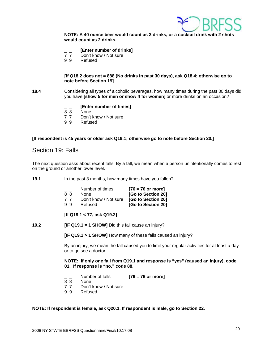

<span id="page-19-0"></span>**NOTE: A 40 ounce beer would count as 3 drinks, or a cocktail drink with 2 shots would count as 2 drinks.** 

# <sup>-</sup> *\_* **[Enter number of drinks]<br>7 7 Don't know / Not sure**

- Don't know / Not sure
- 9 9 Refused

#### **[If Q18.2 does not = 888 (No drinks in past 30 days), ask Q18.4; otherwise go to note before Section 19]**

**18.4** Considering all types of alcoholic beverages, how many times during the past 30 days did you have **[show 5 for men or show 4 for women]** or more drinks on an occasion?

# $\frac{1}{8}$  **[Enter number of times]**

- None
- 7 7 Don't know / Not sure
- 9 9 Refused

#### **[If respondent is 45 years or older ask Q19.1; otherwise go to note before Section 20.]**

### Section 19: Falls

The next question asks about recent falls. By a fall, we mean when a person unintentionally comes to rest on the ground or another lower level.

**19.1** In the past 3 months, how many times have you fallen?

|    | Number of times       | $[76 = 76$ or more] |
|----|-----------------------|---------------------|
| 88 | <b>None</b>           | [Go to Section 20]  |
| 77 | Don't know / Not sure | [Go to Section 20]  |
| 99 | Refused               | [Go to Section 20]  |

#### **[If Q19.1 < 77, ask Q19.2]**

**19.2 [IF Q19.1 = 1 SHOW]** Did this fall cause an injury?

**[IF Q19.1 > 1 SHOW]** How many of these falls caused an injury?

 By an injury, we mean the fall caused you to limit your regular activities for at least a day or to go see a doctor.

**NOTE: If only one fall from Q19.1 and response is "yes" (caused an injury), code 01. If response is "no," code 88.** 

- \_ \_ Number of falls **[76 = 76 or more]**
- 8 8 None
- 7 7 Don't know / Not sure
- 9 9 Refused

**NOTE: If respondent is female, ask Q20.1. If respondent is male, go to Section 22.**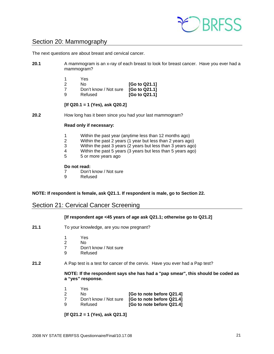

# <span id="page-20-0"></span>Section 20: Mammography

The next questions are about breast and cervical cancer.

**20.1** A mammogram is an x-ray of each breast to look for breast cancer. Have you ever had a mammogram?

|   | Yes                                 |                                       |
|---|-------------------------------------|---------------------------------------|
|   | N٥                                  | [Go to Q21.1]                         |
|   | Don't know / Not sure [Go to Q21.1] |                                       |
| a | Refused                             | [G <sub>0</sub> to Q <sub>21.1]</sub> |

 **[If Q20.1 = 1 (Yes), ask Q20.2]** 

**20.2** How long has it been since you had your last mammogram?

#### **Read only if necessary:**

- 1 Within the past year (anytime less than 12 months ago)
- 2 Within the past 2 years (1 year but less than 2 years ago)
- 3 Within the past 3 years (2 years but less than 3 years ago)
- 4 Within the past 5 years (3 years but less than 5 years ago)
- 5 5 or more years ago

#### **Do not read:**

- 7 Don't know / Not sure<br>9 Refused
- **Refused**

#### **NOTE: If respondent is female, ask Q21.1. If respondent is male, go to Section 22.**

### Section 21: Cervical Cancer Screening

#### **[If respondent age <45 years of age ask Q21.1; otherwise go to Q21.2]**

- **21.1** To your knowledge, are you now pregnant?
	- 1 Yes
- 2 No
	- 7 Don't know / Not sure
	- 9 Refused
- **21.2** A Pap test is a test for cancer of the cervix. Have you ever had a Pap test?

#### **NOTE: If the respondent says she has had a "pap smear", this should be coded as a "yes" response.**

|  | <b>Yes</b> |                           |
|--|------------|---------------------------|
|  | No.        | [Go to note before Q21.4] |
|  |            | <b>EQ QQ4 41</b>          |

- 7 Don't know / Not sure **[Go to note before Q21.4]**
- 9 Refused **[Go to note before Q21.4]**

#### **[If Q21.2 = 1 (Yes), ask Q21.3]**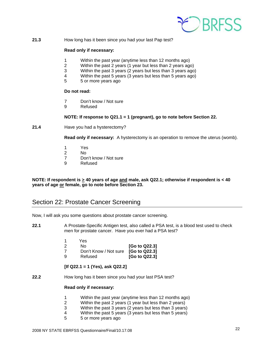

<span id="page-21-0"></span>**21.3** How long has it been since you had your last Pap test?

#### **Read only if necessary:**

- 1 Within the past year (anytime less than 12 months ago)
- 2 Within the past 2 years (1 year but less than 2 years ago)
- 3 Within the past 3 years (2 years but less than 3 years ago)
- 4 Within the past 5 years (3 years but less than 5 years ago)<br>5 5 or more vears ago
- 5 5 or more years ago

#### **Do not read:**

- 7 Don't know / Not sure
- 9 Refused

#### **NOTE: If response to Q21.1 = 1 (pregnant), go to note before Section 22.**

**21.4** Have you had a hysterectomy?

 **Read only if necessary:** A hysterectomy is an operation to remove the uterus (womb).

- 1 Yes
- 2 No<br>7 Dor
- Don't know / Not sure
- 9 Refused

**NOTE: If respondent is > 40 years of age and male, ask Q22.1; otherwise if respondent is < 40 years of age or female, go to note before Section 23.** 

# Section 22: Prostate Cancer Screening

Now, I will ask you some questions about prostate cancer screening.

**22.1** A Prostate-Specific Antigen test, also called a PSA test, is a blood test used to check men for prostate cancer. Have you ever had a PSA test?

|   | Yes                                        |               |
|---|--------------------------------------------|---------------|
|   | No.                                        | [Go to Q22.3] |
|   | Don't Know / Not sure <b>[Go to Q22.3]</b> |               |
| a | Refused                                    | [Go to Q22.3] |

#### **[If Q22.1 = 1 (Yes), ask Q22.2]**

**22.2** How long has it been since you had your last PSA test?

#### **Read only if necessary:**

- 1 Within the past year (anytime less than 12 months ago)
- 2 Within the past 2 years (1 year but less than 2 years)
- 3 Within the past 3 years (2 years but less than 3 years)
- 4 Within the past 5 years (3 years but less than 5 years)
- 5 5 or more years ago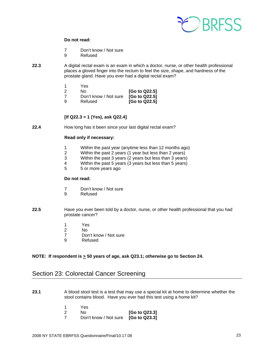

- 7 Don't know / Not sure
- 9 Refused
- <span id="page-22-0"></span>**22.3** A digital rectal exam is an exam in which a doctor, nurse, or other health professional places a gloved finger into the rectum to feel the size, shape, and hardness of the prostate gland. Have you ever had a digital rectal exam?

|   | Yes.                                |               |
|---|-------------------------------------|---------------|
|   | N٥                                  | [Go to Q22.5] |
|   | Don't know / Not sure [Go to Q22.5] |               |
| a | Refused                             | [Go to Q22.5] |

#### **[If Q22.3 = 1 (Yes), ask Q22.4]**

**22.4** How long has it been since your last digital rectal exam?

#### **Read only if necessary:**

- 1 Within the past year (anytime less than 12 months ago)
- 2 Within the past 2 years (1 year but less than 2 years)<br>3 Within the past 3 years (2 years but less than 3 years
- Within the past 3 years (2 years but less than 3 years)
- 4 Within the past 5 years (3 years but less than 5 years)<br>5 5 or more years ago
- 5 5 or more years ago

#### **Do not read:**

- 7 Don't know / Not sure
- 9 Refused
- **22.5** Have you ever been told by a doctor, nurse, or other health professional that you had prostate cancer?
	- 1 Yes
- 2 No
	- 7 Don't know / Not sure
	- 9 Refused

#### **NOTE: If respondent is**  $\geq$  **50 years of age, ask Q23.1; otherwise go to Section 24.**

# Section 23: Colorectal Cancer Screening

- **23.1** A blood stool test is a test that may use a special kit at home to determine whether the stool contains blood. Have you ever had this test using a home kit?
	- 1 Yes
	- 2 No **[Go to Q23.3]** 7 Don't know / Not sure **[Go to Q23.3]**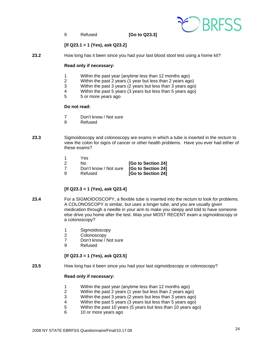

9 Refused **[Go to Q23.3]** 

#### **[If Q23.1 = 1 (Yes), ask Q23.2]**

**23.2** How long has it been since you had your last blood stool test using a home kit?

#### **Read only if necessary:**

- 1 Within the past year (anytime less than 12 months ago)<br>2 Within the past 2 years (1 year but less than 2 years ago
- 2 Within the past 2 years (1 year but less than 2 years ago)
- 3 Within the past 3 years (2 years but less than 3 years ago)
- 4 Within the past 5 years (3 years but less than 5 years ago)<br>5 5 or more years ago
- 5 5 or more years ago

#### **Do not read:**

- 7 Don't know / Not sure
- 9 Refused
- **23.3** Sigmoidoscopy and colonoscopy are exams in which a tube is inserted in the rectum to view the colon for signs of cancer or other health problems. Have you ever had either of these exams?
	- 1 Yes
	- 2 No **[Go to Section 24]**
	- 7 Don't know / Not sure **[Go to Section 24]**
	- 9 Refused **[Go to Section 24]**

#### **[If Q23.3 = 1 (Yes), ask Q23.4]**

- **23.4** For a SIGMOIDOSCOPY, a flexible tube is inserted into the rectum to look for problems. A COLONOSCOPY is similar, but uses a longer tube, and you are usually given medication through a needle in your arm to make you sleepy and told to have someone else drive you home after the test. Was your MOST RECENT exam a sigmoidoscopy or a colonoscopy?
	- 1 Sigmoidoscopy
	- 2 Colonoscopy
	- 7 Don't know / Not sure
	- 9 Refused

#### **[If Q23.3 = 1 (Yes), ask Q23.5]**

**23.5** How long has it been since you had your last sigmoidoscopy or colonoscopy?

#### **Read only if necessary:**

- 1 Within the past year (anytime less than 12 months ago)
- 2 Within the past 2 years (1 year but less than 2 years ago)
- 3 Within the past 3 years (2 years but less than 3 years ago)
- 4 Within the past 5 years (3 years but less than 5 years ago)
- 5 Within the past 10 years (5 years but less than 10 years ago)
- 6 10 or more years ago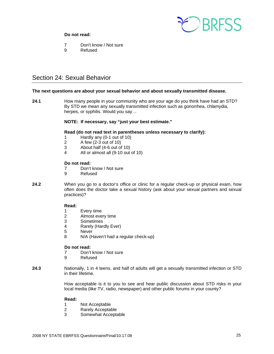

- <span id="page-24-0"></span>7 Don't know / Not sure
- 9 Refused

# Section 24: Sexual Behavior

#### **The next questions are about your sexual behavior and about sexually transmitted disease.**

**24.1** How many people in your community who are your age do you think have had an STD? By STD we mean any sexually transmitted infection such as gonorrhea, chlamydia, herpes, or syphilis. Would you say…

#### **NOTE: If necessary, say "just your best estimate."**

#### **Read (do not read text in parentheses unless necessary to clarify):**

- 1 Hardly any (0-1 out of 10)
- 2 A few (2-3 out of 10)
- 3 About half (4-6 out of 10)
- 4 All or almost all (9-10 out of 10)

#### **Do not read:**

- 7 Don't know / Not sure
- 9 Refused
- **24.2** When you go to a doctor's office or clinic for a regular check-up or physical exam, how often does the doctor take a sexual history (ask about your sexual partners and sexual practices)?

#### **Read:**

- 1 Every time
- 2 Almost every time
- 3 Sometimes
- 4 Rarely (Hardly Ever)
- 5 Never
- 8 N/A (Haven't had a regular check-up)

#### **Do not read:**

- 7 Don't know / Not sure
- 9 Refused
- **24.3** Nationally, 1 in 4 teens, and half of adults will get a sexually transmitted infection or STD in their lifetime.

 How acceptable is it to you to see and hear public discussion about STD risks in your local media (like TV, radio, newspaper) and other public forums in your county?

#### **Read:**

- 1 Not Acceptable
- 2 Rarely Acceptable<br>3 Somewhat Accepta
- 3 Somewhat Acceptable